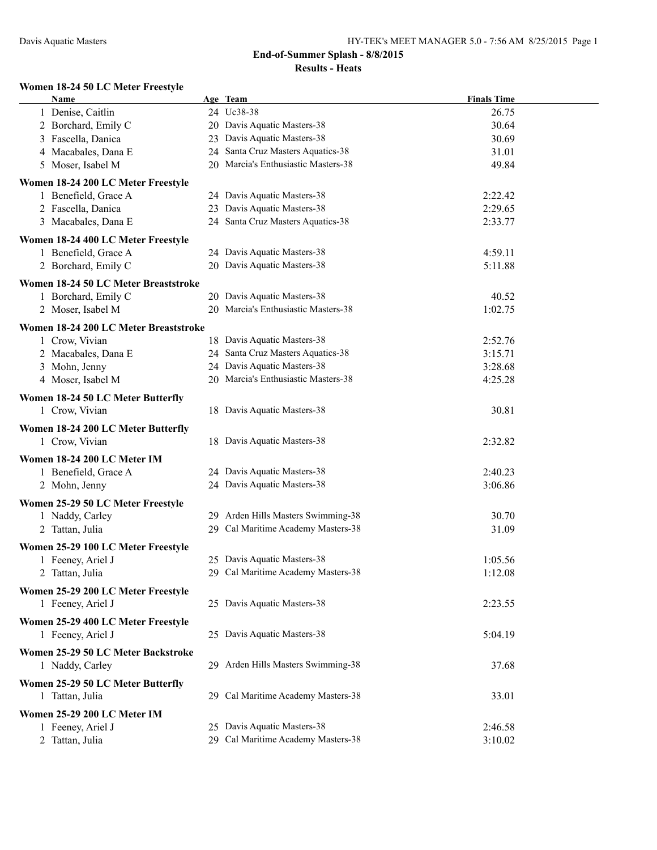#### **Women 18-24 50 LC Meter Freestyle**

| Name                                  | Age Team                            | <b>Finals Time</b> |  |
|---------------------------------------|-------------------------------------|--------------------|--|
| 1 Denise, Caitlin                     | 24 Uc38-38                          | 26.75              |  |
| 2 Borchard, Emily C                   | 20 Davis Aquatic Masters-38         | 30.64              |  |
| 3 Fascella, Danica                    | 23 Davis Aquatic Masters-38         | 30.69              |  |
| 4 Macabales, Dana E                   | 24 Santa Cruz Masters Aquatics-38   | 31.01              |  |
| 5 Moser, Isabel M                     | 20 Marcia's Enthusiastic Masters-38 | 49.84              |  |
| Women 18-24 200 LC Meter Freestyle    |                                     |                    |  |
| 1 Benefield, Grace A                  | 24 Davis Aquatic Masters-38         | 2:22.42            |  |
| 2 Fascella, Danica                    | 23 Davis Aquatic Masters-38         | 2:29.65            |  |
| 3 Macabales, Dana E                   | 24 Santa Cruz Masters Aquatics-38   | 2:33.77            |  |
|                                       |                                     |                    |  |
| Women 18-24 400 LC Meter Freestyle    |                                     |                    |  |
| 1 Benefield, Grace A                  | 24 Davis Aquatic Masters-38         | 4:59.11            |  |
| 2 Borchard, Emily C                   | 20 Davis Aquatic Masters-38         | 5:11.88            |  |
| Women 18-24 50 LC Meter Breaststroke  |                                     |                    |  |
| 1 Borchard, Emily C                   | 20 Davis Aquatic Masters-38         | 40.52              |  |
| 2 Moser, Isabel M                     | 20 Marcia's Enthusiastic Masters-38 | 1:02.75            |  |
| Women 18-24 200 LC Meter Breaststroke |                                     |                    |  |
| 1 Crow, Vivian                        | 18 Davis Aquatic Masters-38         | 2:52.76            |  |
| 2 Macabales, Dana E                   | 24 Santa Cruz Masters Aquatics-38   | 3:15.71            |  |
| 3 Mohn, Jenny                         | 24 Davis Aquatic Masters-38         | 3:28.68            |  |
| 4 Moser, Isabel M                     | 20 Marcia's Enthusiastic Masters-38 | 4:25.28            |  |
| Women 18-24 50 LC Meter Butterfly     |                                     |                    |  |
| 1 Crow, Vivian                        | 18 Davis Aquatic Masters-38         | 30.81              |  |
|                                       |                                     |                    |  |
| Women 18-24 200 LC Meter Butterfly    |                                     |                    |  |
| 1 Crow, Vivian                        | 18 Davis Aquatic Masters-38         | 2:32.82            |  |
| Women 18-24 200 LC Meter IM           |                                     |                    |  |
| 1 Benefield, Grace A                  | 24 Davis Aquatic Masters-38         | 2:40.23            |  |
| 2 Mohn, Jenny                         | 24 Davis Aquatic Masters-38         | 3:06.86            |  |
| Women 25-29 50 LC Meter Freestyle     |                                     |                    |  |
| 1 Naddy, Carley                       | 29 Arden Hills Masters Swimming-38  | 30.70              |  |
| 2 Tattan, Julia                       | 29 Cal Maritime Academy Masters-38  | 31.09              |  |
|                                       |                                     |                    |  |
| Women 25-29 100 LC Meter Freestyle    | 25 Davis Aquatic Masters-38         | 1:05.56            |  |
| 1 Feeney, Ariel J                     |                                     |                    |  |
| 2 Tattan, Julia                       | 29 Cal Maritime Academy Masters-38  | 1:12.08            |  |
| Women 25-29 200 LC Meter Freestyle    |                                     |                    |  |
| 1 Feeney, Ariel J                     | 25 Davis Aquatic Masters-38         | 2:23.55            |  |
| Women 25-29 400 LC Meter Freestyle    |                                     |                    |  |
| 1 Feeney, Ariel J                     | 25 Davis Aquatic Masters-38         | 5:04.19            |  |
| Women 25-29 50 LC Meter Backstroke    |                                     |                    |  |
| 1 Naddy, Carley                       | 29 Arden Hills Masters Swimming-38  | 37.68              |  |
|                                       |                                     |                    |  |
| Women 25-29 50 LC Meter Butterfly     |                                     |                    |  |
| 1 Tattan, Julia                       | 29 Cal Maritime Academy Masters-38  | 33.01              |  |
| Women 25-29 200 LC Meter IM           |                                     |                    |  |
| 1 Feeney, Ariel J                     | 25 Davis Aquatic Masters-38         | 2:46.58            |  |
| 2 Tattan, Julia                       | 29 Cal Maritime Academy Masters-38  | 3:10.02            |  |
|                                       |                                     |                    |  |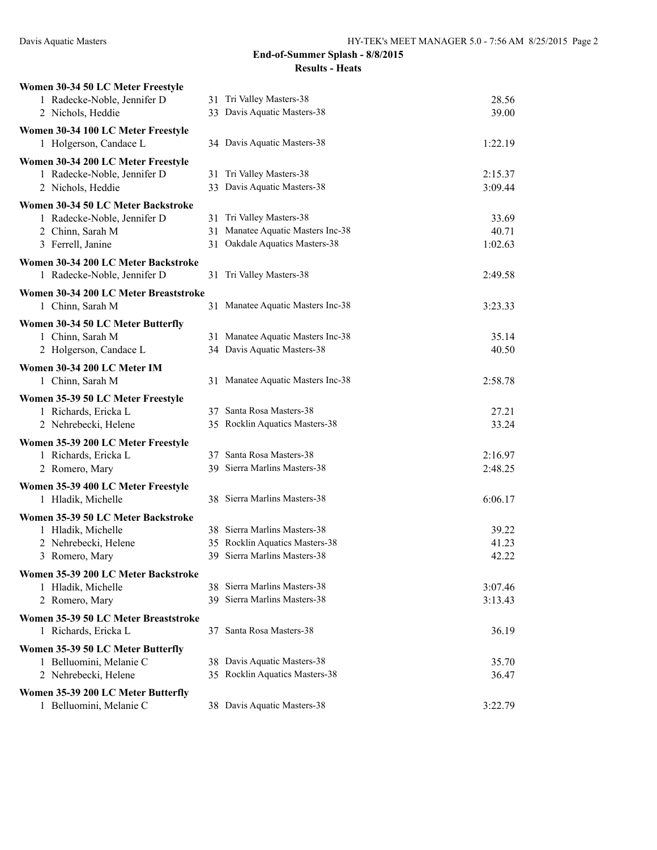| Women 30-34 50 LC Meter Freestyle                          |                                                                |                |
|------------------------------------------------------------|----------------------------------------------------------------|----------------|
| 1 Radecke-Noble, Jennifer D                                | 31 Tri Valley Masters-38                                       | 28.56          |
| 2 Nichols, Heddie                                          | 33 Davis Aquatic Masters-38                                    | 39.00          |
| Women 30-34 100 LC Meter Freestyle                         |                                                                |                |
| 1 Holgerson, Candace L                                     | 34 Davis Aquatic Masters-38                                    | 1:22.19        |
| Women 30-34 200 LC Meter Freestyle                         |                                                                |                |
| 1 Radecke-Noble, Jennifer D                                | 31 Tri Valley Masters-38                                       | 2:15.37        |
| 2 Nichols, Heddie                                          | 33 Davis Aquatic Masters-38                                    | 3:09.44        |
| Women 30-34 50 LC Meter Backstroke                         |                                                                |                |
| 1 Radecke-Noble, Jennifer D                                | 31 Tri Valley Masters-38                                       | 33.69          |
| 2 Chinn, Sarah M                                           | 31 Manatee Aquatic Masters Inc-38                              | 40.71          |
| 3 Ferrell, Janine                                          | 31 Oakdale Aquatics Masters-38                                 | 1:02.63        |
| Women 30-34 200 LC Meter Backstroke                        |                                                                |                |
| 1 Radecke-Noble, Jennifer D                                | 31 Tri Valley Masters-38                                       | 2:49.58        |
| Women 30-34 200 LC Meter Breaststroke                      |                                                                |                |
| 1 Chinn, Sarah M                                           | 31 Manatee Aquatic Masters Inc-38                              | 3:23.33        |
| Women 30-34 50 LC Meter Butterfly                          |                                                                |                |
| 1 Chinn, Sarah M                                           | 31 Manatee Aquatic Masters Inc-38                              | 35.14          |
| 2 Holgerson, Candace L                                     | 34 Davis Aquatic Masters-38                                    | 40.50          |
| Women 30-34 200 LC Meter IM                                |                                                                |                |
| 1 Chinn, Sarah M                                           | 31 Manatee Aquatic Masters Inc-38                              | 2:58.78        |
|                                                            |                                                                |                |
| Women 35-39 50 LC Meter Freestyle<br>1 Richards, Ericka L  | 37 Santa Rosa Masters-38                                       | 27.21          |
| 2 Nehrebecki, Helene                                       | 35 Rocklin Aquatics Masters-38                                 | 33.24          |
|                                                            |                                                                |                |
| Women 35-39 200 LC Meter Freestyle<br>1 Richards, Ericka L | 37 Santa Rosa Masters-38                                       | 2:16.97        |
| 2 Romero, Mary                                             | 39 Sierra Marlins Masters-38                                   | 2:48.25        |
|                                                            |                                                                |                |
| Women 35-39 400 LC Meter Freestyle                         |                                                                |                |
| 1 Hladik, Michelle                                         | 38 Sierra Marlins Masters-38                                   | 6:06.17        |
| Women 35-39 50 LC Meter Backstroke                         |                                                                |                |
| 1 Hladik, Michelle                                         | 38 Sierra Marlins Masters-38                                   | 39.22          |
| 2 Nehrebecki, Helene                                       | 35 Rocklin Aquatics Masters-38<br>39 Sierra Marlins Masters-38 | 41.23<br>42.22 |
| 3 Romero, Mary                                             |                                                                |                |
| Women 35-39 200 LC Meter Backstroke                        |                                                                |                |
| 1 Hladik, Michelle                                         | 38 Sierra Marlins Masters-38<br>39 Sierra Marlins Masters-38   | 3:07.46        |
| 2 Romero, Mary                                             |                                                                | 3:13.43        |
| Women 35-39 50 LC Meter Breaststroke                       |                                                                |                |
| 1 Richards, Ericka L                                       | 37 Santa Rosa Masters-38                                       | 36.19          |
| Women 35-39 50 LC Meter Butterfly                          |                                                                |                |
| 1 Belluomini, Melanie C                                    | 38 Davis Aquatic Masters-38                                    | 35.70          |
| 2 Nehrebecki, Helene                                       | 35 Rocklin Aquatics Masters-38                                 | 36.47          |
| Women 35-39 200 LC Meter Butterfly                         |                                                                |                |
| 1 Belluomini, Melanie C                                    | 38 Davis Aquatic Masters-38                                    | 3:22.79        |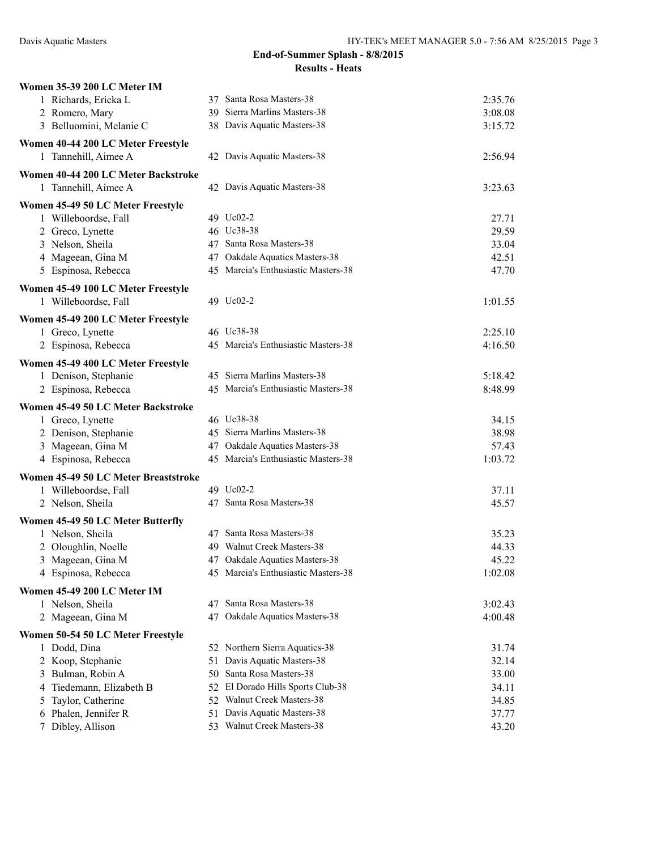| Women 35-39 200 LC Meter IM          |                                     |         |
|--------------------------------------|-------------------------------------|---------|
| 1 Richards, Ericka L                 | 37 Santa Rosa Masters-38            | 2:35.76 |
| 2 Romero, Mary                       | 39 Sierra Marlins Masters-38        | 3:08.08 |
| 3 Belluomini, Melanie C              | 38 Davis Aquatic Masters-38         | 3:15.72 |
| Women 40-44 200 LC Meter Freestyle   |                                     |         |
| 1 Tannehill, Aimee A                 | 42 Davis Aquatic Masters-38         | 2:56.94 |
| Women 40-44 200 LC Meter Backstroke  |                                     |         |
| 1 Tannehill, Aimee A                 | 42 Davis Aquatic Masters-38         | 3:23.63 |
| Women 45-49 50 LC Meter Freestyle    |                                     |         |
| 1 Willeboordse, Fall                 | 49 Uc02-2                           | 27.71   |
| 2 Greco, Lynette                     | 46 Uc38-38                          | 29.59   |
| 3 Nelson, Sheila                     | 47 Santa Rosa Masters-38            | 33.04   |
| 4 Mageean, Gina M                    | 47 Oakdale Aquatics Masters-38      | 42.51   |
| 5 Espinosa, Rebecca                  | 45 Marcia's Enthusiastic Masters-38 | 47.70   |
| Women 45-49 100 LC Meter Freestyle   |                                     |         |
| 1 Willeboordse, Fall                 | 49 Uc02-2                           | 1:01.55 |
| Women 45-49 200 LC Meter Freestyle   |                                     |         |
| 1 Greco, Lynette                     | 46 Uc38-38                          | 2:25.10 |
| 2 Espinosa, Rebecca                  | 45 Marcia's Enthusiastic Masters-38 | 4:16.50 |
| Women 45-49 400 LC Meter Freestyle   |                                     |         |
| 1 Denison, Stephanie                 | 45 Sierra Marlins Masters-38        | 5:18.42 |
| 2 Espinosa, Rebecca                  | 45 Marcia's Enthusiastic Masters-38 | 8:48.99 |
| Women 45-49 50 LC Meter Backstroke   |                                     |         |
| 1 Greco, Lynette                     | 46 Uc38-38                          | 34.15   |
| 2 Denison, Stephanie                 | 45 Sierra Marlins Masters-38        | 38.98   |
| 3 Mageean, Gina M                    | 47 Oakdale Aquatics Masters-38      | 57.43   |
| 4 Espinosa, Rebecca                  | 45 Marcia's Enthusiastic Masters-38 | 1:03.72 |
| Women 45-49 50 LC Meter Breaststroke |                                     |         |
| 1 Willeboordse, Fall                 | 49 Uc02-2                           | 37.11   |
| 2 Nelson, Sheila                     | 47 Santa Rosa Masters-38            | 45.57   |
| Women 45-49 50 LC Meter Butterfly    |                                     |         |
| 1 Nelson, Sheila                     | 47 Santa Rosa Masters-38            | 35.23   |
| 2 Oloughlin, Noelle                  | 49 Walnut Creek Masters-38          | 44.33   |
| 3 Mageean, Gina M                    | 47 Oakdale Aquatics Masters-38      | 45.22   |
| 4 Espinosa, Rebecca                  | 45 Marcia's Enthusiastic Masters-38 | 1:02.08 |
| Women 45-49 200 LC Meter IM          |                                     |         |
| 1 Nelson, Sheila                     | 47 Santa Rosa Masters-38            | 3:02.43 |
| 2 Mageean, Gina M                    | 47 Oakdale Aquatics Masters-38      | 4:00.48 |
| Women 50-54 50 LC Meter Freestyle    |                                     |         |
| 1 Dodd, Dina                         | 52 Northern Sierra Aquatics-38      | 31.74   |
| 2 Koop, Stephanie                    | 51 Davis Aquatic Masters-38         | 32.14   |
| 3 Bulman, Robin A                    | 50 Santa Rosa Masters-38            | 33.00   |
| 4 Tiedemann, Elizabeth B             | 52 El Dorado Hills Sports Club-38   | 34.11   |
| Taylor, Catherine<br>5               | 52 Walnut Creek Masters-38          | 34.85   |
| 6 Phalen, Jennifer R                 | 51 Davis Aquatic Masters-38         | 37.77   |
| 7 Dibley, Allison                    | 53 Walnut Creek Masters-38          | 43.20   |
|                                      |                                     |         |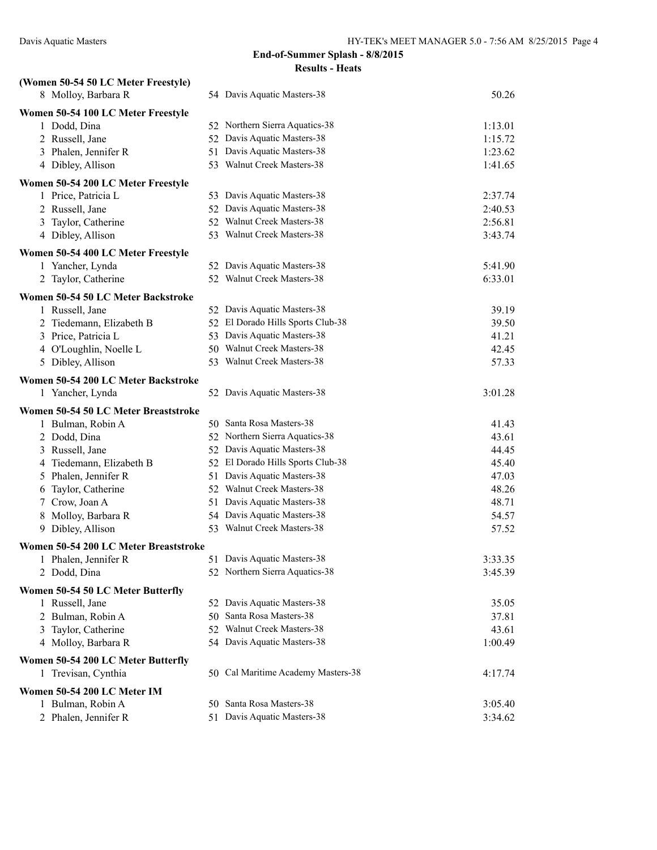| (Women 50-54 50 LC Meter Freestyle)                       |                                    |         |
|-----------------------------------------------------------|------------------------------------|---------|
| 8 Molloy, Barbara R                                       | 54 Davis Aquatic Masters-38        | 50.26   |
| Women 50-54 100 LC Meter Freestyle                        |                                    |         |
| 1 Dodd, Dina                                              | 52 Northern Sierra Aquatics-38     | 1:13.01 |
| 2 Russell, Jane                                           | 52 Davis Aquatic Masters-38        | 1:15.72 |
| 3 Phalen, Jennifer R                                      | 51 Davis Aquatic Masters-38        | 1:23.62 |
| 4 Dibley, Allison                                         | 53 Walnut Creek Masters-38         | 1:41.65 |
| Women 50-54 200 LC Meter Freestyle                        |                                    |         |
| 1 Price, Patricia L                                       | 53 Davis Aquatic Masters-38        | 2:37.74 |
| 2 Russell, Jane                                           | 52 Davis Aquatic Masters-38        | 2:40.53 |
| 3 Taylor, Catherine                                       | 52 Walnut Creek Masters-38         | 2:56.81 |
| 4 Dibley, Allison                                         | 53 Walnut Creek Masters-38         | 3:43.74 |
| Women 50-54 400 LC Meter Freestyle                        |                                    |         |
| 1 Yancher, Lynda                                          | 52 Davis Aquatic Masters-38        | 5:41.90 |
| 2 Taylor, Catherine                                       | 52 Walnut Creek Masters-38         | 6:33.01 |
| Women 50-54 50 LC Meter Backstroke                        |                                    |         |
| 1 Russell, Jane                                           | 52 Davis Aquatic Masters-38        | 39.19   |
| 2 Tiedemann, Elizabeth B                                  | 52 El Dorado Hills Sports Club-38  | 39.50   |
| 3 Price, Patricia L                                       | 53 Davis Aquatic Masters-38        | 41.21   |
| 4 O'Loughlin, Noelle L                                    | 50 Walnut Creek Masters-38         | 42.45   |
| 5 Dibley, Allison                                         | 53 Walnut Creek Masters-38         | 57.33   |
| Women 50-54 200 LC Meter Backstroke                       |                                    |         |
| 1 Yancher, Lynda                                          | 52 Davis Aquatic Masters-38        | 3:01.28 |
| Women 50-54 50 LC Meter Breaststroke                      |                                    |         |
| 1 Bulman, Robin A                                         | 50 Santa Rosa Masters-38           | 41.43   |
| 2 Dodd, Dina                                              | 52 Northern Sierra Aquatics-38     | 43.61   |
| 3 Russell, Jane                                           | 52 Davis Aquatic Masters-38        | 44.45   |
| 4 Tiedemann, Elizabeth B                                  | 52 El Dorado Hills Sports Club-38  | 45.40   |
| 5 Phalen, Jennifer R                                      | 51 Davis Aquatic Masters-38        | 47.03   |
| 6 Taylor, Catherine                                       | 52 Walnut Creek Masters-38         | 48.26   |
| 7 Crow, Joan A                                            | 51 Davis Aquatic Masters-38        | 48.71   |
| 8 Molloy, Barbara R                                       | 54 Davis Aquatic Masters-38        | 54.57   |
| 9 Dibley, Allison                                         | 53 Walnut Creek Masters-38         | 57.52   |
| Women 50-54 200 LC Meter Breaststroke                     |                                    |         |
| 1 Phalen, Jennifer R                                      | 51 Davis Aquatic Masters-38        | 3:33.35 |
| 2 Dodd, Dina                                              | 52 Northern Sierra Aquatics-38     | 3:45.39 |
| Women 50-54 50 LC Meter Butterfly                         |                                    |         |
| 1 Russell, Jane                                           | 52 Davis Aquatic Masters-38        | 35.05   |
| 2 Bulman, Robin A                                         | 50 Santa Rosa Masters-38           | 37.81   |
| 3 Taylor, Catherine                                       | 52 Walnut Creek Masters-38         | 43.61   |
| 4 Molloy, Barbara R                                       | 54 Davis Aquatic Masters-38        | 1:00.49 |
|                                                           |                                    |         |
| Women 50-54 200 LC Meter Butterfly<br>1 Trevisan, Cynthia | 50 Cal Maritime Academy Masters-38 | 4:17.74 |
|                                                           |                                    |         |
| Women 50-54 200 LC Meter IM                               |                                    |         |
| 1 Bulman, Robin A                                         | 50 Santa Rosa Masters-38           | 3:05.40 |
| 2 Phalen, Jennifer R                                      | 51 Davis Aquatic Masters-38        | 3:34.62 |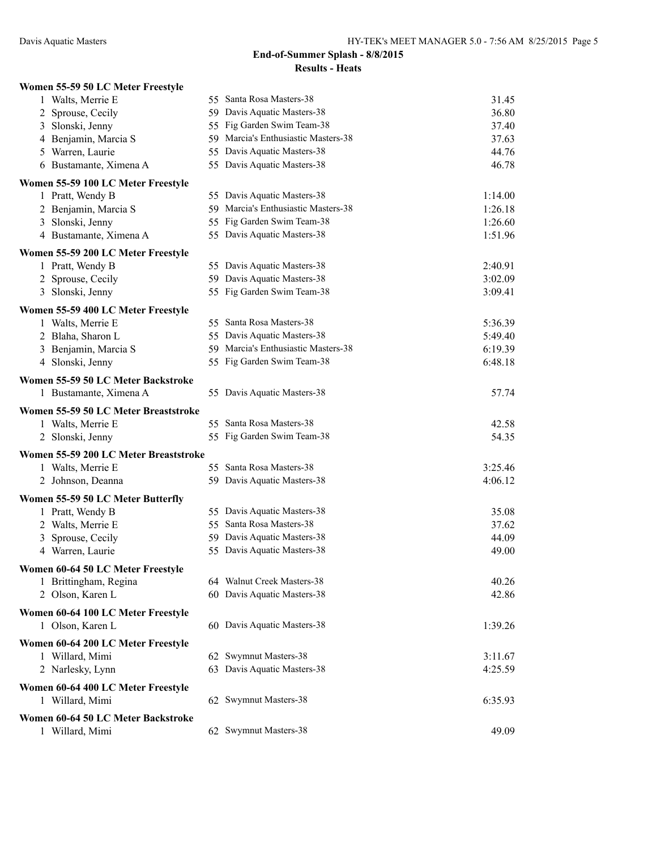| Women 55-59 50 LC Meter Freestyle     |                                     |         |
|---------------------------------------|-------------------------------------|---------|
| 1 Walts, Merrie E                     | 55 Santa Rosa Masters-38            | 31.45   |
| 2 Sprouse, Cecily                     | 59 Davis Aquatic Masters-38         | 36.80   |
| 3 Slonski, Jenny                      | 55 Fig Garden Swim Team-38          | 37.40   |
| 4 Benjamin, Marcia S                  | 59 Marcia's Enthusiastic Masters-38 | 37.63   |
| 5 Warren, Laurie                      | 55 Davis Aquatic Masters-38         | 44.76   |
| 6 Bustamante, Ximena A                | 55 Davis Aquatic Masters-38         | 46.78   |
| Women 55-59 100 LC Meter Freestyle    |                                     |         |
| 1 Pratt, Wendy B                      | 55 Davis Aquatic Masters-38         | 1:14.00 |
| 2 Benjamin, Marcia S                  | 59 Marcia's Enthusiastic Masters-38 | 1:26.18 |
| 3 Slonski, Jenny                      | 55 Fig Garden Swim Team-38          | 1:26.60 |
| 4 Bustamante, Ximena A                | 55 Davis Aquatic Masters-38         | 1:51.96 |
| Women 55-59 200 LC Meter Freestyle    |                                     |         |
| 1 Pratt, Wendy B                      | 55 Davis Aquatic Masters-38         | 2:40.91 |
| 2 Sprouse, Cecily                     | 59 Davis Aquatic Masters-38         | 3:02.09 |
| 3 Slonski, Jenny                      | 55 Fig Garden Swim Team-38          | 3:09.41 |
| Women 55-59 400 LC Meter Freestyle    |                                     |         |
| 1 Walts, Merrie E                     | 55 Santa Rosa Masters-38            | 5:36.39 |
| 2 Blaha, Sharon L                     | 55 Davis Aquatic Masters-38         | 5:49.40 |
| 3 Benjamin, Marcia S                  | 59 Marcia's Enthusiastic Masters-38 | 6:19.39 |
| 4 Slonski, Jenny                      | 55 Fig Garden Swim Team-38          | 6:48.18 |
| Women 55-59 50 LC Meter Backstroke    |                                     |         |
| 1 Bustamante, Ximena A                | 55 Davis Aquatic Masters-38         | 57.74   |
| Women 55-59 50 LC Meter Breaststroke  |                                     |         |
| 1 Walts, Merrie E                     | 55 Santa Rosa Masters-38            | 42.58   |
| 2 Slonski, Jenny                      | 55 Fig Garden Swim Team-38          | 54.35   |
| Women 55-59 200 LC Meter Breaststroke |                                     |         |
| 1 Walts, Merrie E                     | 55 Santa Rosa Masters-38            | 3:25.46 |
| 2 Johnson, Deanna                     | 59 Davis Aquatic Masters-38         | 4:06.12 |
| Women 55-59 50 LC Meter Butterfly     |                                     |         |
| 1 Pratt, Wendy B                      | 55 Davis Aquatic Masters-38         | 35.08   |
| 2 Walts, Merrie E                     | 55 Santa Rosa Masters-38            | 37.62   |
| 3 Sprouse, Cecily                     | 59 Davis Aquatic Masters-38         | 44.09   |
| 4 Warren, Laurie                      | 55 Davis Aquatic Masters-38         | 49.00   |
| Women 60-64 50 LC Meter Freestyle     |                                     |         |
| 1 Brittingham, Regina                 | 64 Walnut Creek Masters-38          | 40.26   |
| 2 Olson, Karen L                      | 60 Davis Aquatic Masters-38         | 42.86   |
|                                       |                                     |         |
| Women 60-64 100 LC Meter Freestyle    |                                     |         |
| 1 Olson, Karen L                      | 60 Davis Aquatic Masters-38         | 1:39.26 |
| Women 60-64 200 LC Meter Freestyle    |                                     |         |
| 1 Willard, Mimi                       | 62 Swymnut Masters-38               | 3:11.67 |
| 2 Narlesky, Lynn                      | 63 Davis Aquatic Masters-38         | 4:25.59 |
| Women 60-64 400 LC Meter Freestyle    |                                     |         |
| 1 Willard, Mimi                       | 62 Swymnut Masters-38               | 6:35.93 |
| Women 60-64 50 LC Meter Backstroke    |                                     |         |
| 1 Willard, Mimi                       | 62 Swymnut Masters-38               | 49.09   |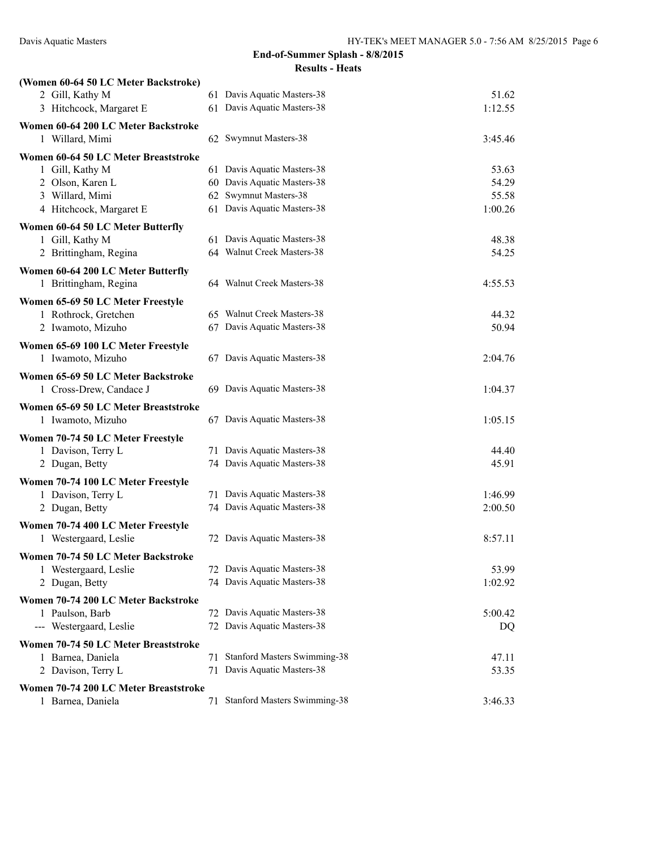| (Women 60-64 50 LC Meter Backstroke)  |    |                                     |         |
|---------------------------------------|----|-------------------------------------|---------|
| 2 Gill, Kathy M                       |    | 61 Davis Aquatic Masters-38         | 51.62   |
| 3 Hitchcock, Margaret E               |    | 61 Davis Aquatic Masters-38         | 1:12.55 |
| Women 60-64 200 LC Meter Backstroke   |    |                                     |         |
| 1 Willard, Mimi                       |    | 62 Swymnut Masters-38               | 3:45.46 |
| Women 60-64 50 LC Meter Breaststroke  |    |                                     |         |
| 1 Gill, Kathy M                       |    | 61 Davis Aquatic Masters-38         | 53.63   |
| 2 Olson, Karen L                      |    | 60 Davis Aquatic Masters-38         | 54.29   |
| 3 Willard, Mimi                       |    | 62 Swymnut Masters-38               | 55.58   |
| 4 Hitchcock, Margaret E               |    | 61 Davis Aquatic Masters-38         | 1:00.26 |
| Women 60-64 50 LC Meter Butterfly     |    |                                     |         |
| 1 Gill, Kathy M                       |    | 61 Davis Aquatic Masters-38         | 48.38   |
| 2 Brittingham, Regina                 |    | 64 Walnut Creek Masters-38          | 54.25   |
| Women 60-64 200 LC Meter Butterfly    |    |                                     |         |
| 1 Brittingham, Regina                 |    | 64 Walnut Creek Masters-38          | 4:55.53 |
| Women 65-69 50 LC Meter Freestyle     |    |                                     |         |
| 1 Rothrock, Gretchen                  |    | 65 Walnut Creek Masters-38          | 44.32   |
| 2 Iwamoto, Mizuho                     |    | 67 Davis Aquatic Masters-38         | 50.94   |
| Women 65-69 100 LC Meter Freestyle    |    |                                     |         |
| 1 Iwamoto, Mizuho                     |    | 67 Davis Aquatic Masters-38         | 2:04.76 |
| Women 65-69 50 LC Meter Backstroke    |    |                                     |         |
| 1 Cross-Drew, Candace J               |    | 69 Davis Aquatic Masters-38         | 1:04.37 |
| Women 65-69 50 LC Meter Breaststroke  |    |                                     |         |
| 1 Iwamoto, Mizuho                     |    | 67 Davis Aquatic Masters-38         | 1:05.15 |
| Women 70-74 50 LC Meter Freestyle     |    |                                     |         |
| 1 Davison, Terry L                    |    | 71 Davis Aquatic Masters-38         | 44.40   |
| 2 Dugan, Betty                        |    | 74 Davis Aquatic Masters-38         | 45.91   |
| Women 70-74 100 LC Meter Freestyle    |    |                                     |         |
| 1 Davison, Terry L                    |    | 71 Davis Aquatic Masters-38         | 1:46.99 |
| 2 Dugan, Betty                        |    | 74 Davis Aquatic Masters-38         | 2:00.50 |
| Women 70-74 400 LC Meter Freestyle    |    |                                     |         |
| 1 Westergaard, Leslie                 |    | 72 Davis Aquatic Masters-38         | 8:57.11 |
| Women 70-74 50 LC Meter Backstroke    |    |                                     |         |
| 1 Westergaard, Leslie                 |    | 72 Davis Aquatic Masters-38         | 53.99   |
| 2 Dugan, Betty                        |    | 74 Davis Aquatic Masters-38         | 1:02.92 |
| Women 70-74 200 LC Meter Backstroke   |    |                                     |         |
| 1 Paulson, Barb                       |    | 72 Davis Aquatic Masters-38         | 5:00.42 |
| --- Westergaard, Leslie               |    | 72 Davis Aquatic Masters-38         | DQ      |
| Women 70-74 50 LC Meter Breaststroke  |    |                                     |         |
| 1 Barnea, Daniela                     | 71 | <b>Stanford Masters Swimming-38</b> | 47.11   |
| 2 Davison, Terry L                    |    | 71 Davis Aquatic Masters-38         | 53.35   |
| Women 70-74 200 LC Meter Breaststroke |    |                                     |         |
| 1 Barnea, Daniela                     |    | 71 Stanford Masters Swimming-38     | 3:46.33 |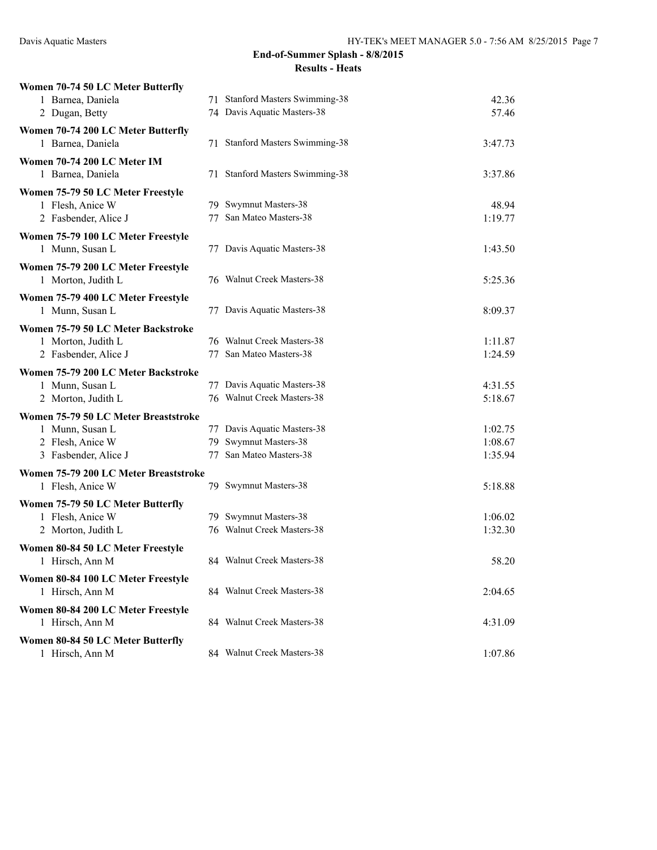| Women 70-74 50 LC Meter Butterfly     |                                 |         |
|---------------------------------------|---------------------------------|---------|
| 1 Barnea, Daniela                     | 71 Stanford Masters Swimming-38 | 42.36   |
| 2 Dugan, Betty                        | 74 Davis Aquatic Masters-38     | 57.46   |
| Women 70-74 200 LC Meter Butterfly    |                                 |         |
| 1 Barnea, Daniela                     | 71 Stanford Masters Swimming-38 | 3:47.73 |
| Women 70-74 200 LC Meter IM           |                                 |         |
| 1 Barnea, Daniela                     | 71 Stanford Masters Swimming-38 | 3:37.86 |
| Women 75-79 50 LC Meter Freestyle     |                                 |         |
| 1 Flesh, Anice W                      | 79 Swymnut Masters-38           | 48.94   |
| 2 Fasbender, Alice J                  | 77 San Mateo Masters-38         | 1:19.77 |
| Women 75-79 100 LC Meter Freestyle    |                                 |         |
| 1 Munn, Susan L                       | 77 Davis Aquatic Masters-38     | 1:43.50 |
| Women 75-79 200 LC Meter Freestyle    |                                 |         |
| 1 Morton, Judith L                    | 76 Walnut Creek Masters-38      | 5:25.36 |
| Women 75-79 400 LC Meter Freestyle    |                                 |         |
| 1 Munn, Susan L                       | 77 Davis Aquatic Masters-38     | 8:09.37 |
| Women 75-79 50 LC Meter Backstroke    |                                 |         |
| 1 Morton, Judith L                    | 76 Walnut Creek Masters-38      | 1:11.87 |
| 2 Fasbender, Alice J                  | 77 San Mateo Masters-38         | 1:24.59 |
| Women 75-79 200 LC Meter Backstroke   |                                 |         |
| 1 Munn, Susan L                       | 77 Davis Aquatic Masters-38     | 4:31.55 |
| 2 Morton, Judith L                    | 76 Walnut Creek Masters-38      | 5:18.67 |
| Women 75-79 50 LC Meter Breaststroke  |                                 |         |
| 1 Munn, Susan L                       | 77 Davis Aquatic Masters-38     | 1:02.75 |
| 2 Flesh, Anice W                      | 79 Swymnut Masters-38           | 1:08.67 |
| 3 Fasbender, Alice J                  | 77 San Mateo Masters-38         | 1:35.94 |
| Women 75-79 200 LC Meter Breaststroke |                                 |         |
| 1 Flesh, Anice W                      | 79 Swymnut Masters-38           | 5:18.88 |
| Women 75-79 50 LC Meter Butterfly     |                                 |         |
| 1 Flesh, Anice W                      | 79 Swymnut Masters-38           | 1:06.02 |
| 2 Morton, Judith L                    | 76 Walnut Creek Masters-38      | 1:32.30 |
| Women 80-84 50 LC Meter Freestyle     |                                 |         |
| 1 Hirsch, Ann M                       | 84 Walnut Creek Masters-38      | 58.20   |
| Women 80-84 100 LC Meter Freestyle    |                                 |         |
| 1 Hirsch, Ann M                       | 84 Walnut Creek Masters-38      | 2:04.65 |
| Women 80-84 200 LC Meter Freestyle    |                                 |         |
| 1 Hirsch, Ann M                       | 84 Walnut Creek Masters-38      | 4:31.09 |
| Women 80-84 50 LC Meter Butterfly     |                                 |         |
| 1 Hirsch, Ann M                       | 84 Walnut Creek Masters-38      | 1:07.86 |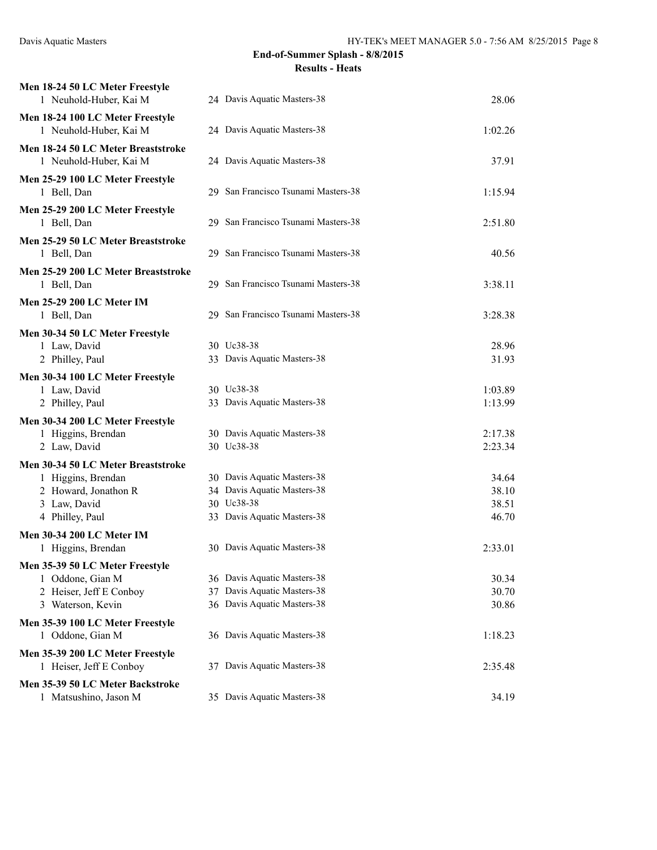| Men 18-24 50 LC Meter Freestyle<br>1 Neuhold-Huber, Kai M                                                           | 24 Davis Aquatic Masters-38                                                                             | 28.06                            |
|---------------------------------------------------------------------------------------------------------------------|---------------------------------------------------------------------------------------------------------|----------------------------------|
| Men 18-24 100 LC Meter Freestyle<br>1 Neuhold-Huber, Kai M                                                          | 24 Davis Aquatic Masters-38                                                                             | 1:02.26                          |
| Men 18-24 50 LC Meter Breaststroke<br>1 Neuhold-Huber, Kai M                                                        | 24 Davis Aquatic Masters-38                                                                             | 37.91                            |
| Men 25-29 100 LC Meter Freestyle<br>1 Bell, Dan                                                                     | 29 San Francisco Tsunami Masters-38                                                                     | 1:15.94                          |
| Men 25-29 200 LC Meter Freestyle<br>1 Bell, Dan                                                                     | 29 San Francisco Tsunami Masters-38                                                                     | 2:51.80                          |
| Men 25-29 50 LC Meter Breaststroke<br>1 Bell, Dan                                                                   | 29 San Francisco Tsunami Masters-38                                                                     | 40.56                            |
| Men 25-29 200 LC Meter Breaststroke<br>1 Bell, Dan                                                                  | 29 San Francisco Tsunami Masters-38                                                                     | 3:38.11                          |
| Men 25-29 200 LC Meter IM<br>1 Bell, Dan                                                                            | 29 San Francisco Tsunami Masters-38                                                                     | 3:28.38                          |
| Men 30-34 50 LC Meter Freestyle<br>1 Law, David<br>2 Philley, Paul                                                  | 30 Uc38-38<br>33 Davis Aquatic Masters-38                                                               | 28.96<br>31.93                   |
| Men 30-34 100 LC Meter Freestyle<br>1 Law, David<br>2 Philley, Paul                                                 | 30 Uc38-38<br>33 Davis Aquatic Masters-38                                                               | 1:03.89<br>1:13.99               |
| Men 30-34 200 LC Meter Freestyle                                                                                    |                                                                                                         |                                  |
| 1 Higgins, Brendan<br>2 Law, David                                                                                  | 30 Davis Aquatic Masters-38<br>30 Uc38-38                                                               | 2:17.38<br>2:23.34               |
| Men 30-34 50 LC Meter Breaststroke<br>1 Higgins, Brendan<br>2 Howard, Jonathon R<br>3 Law, David<br>4 Philley, Paul | 30 Davis Aquatic Masters-38<br>34 Davis Aquatic Masters-38<br>30 Uc38-38<br>33 Davis Aquatic Masters-38 | 34.64<br>38.10<br>38.51<br>46.70 |
| Men 30-34 200 LC Meter IM<br>1 Higgins, Brendan                                                                     | 30 Davis Aquatic Masters-38                                                                             | 2:33.01                          |
| Men 35-39 50 LC Meter Freestyle<br>1 Oddone, Gian M<br>2 Heiser, Jeff E Conboy<br>3 Waterson, Kevin                 | 36 Davis Aquatic Masters-38<br>37 Davis Aquatic Masters-38<br>36 Davis Aquatic Masters-38               | 30.34<br>30.70<br>30.86          |
| Men 35-39 100 LC Meter Freestyle<br>1 Oddone, Gian M                                                                | 36 Davis Aquatic Masters-38                                                                             | 1:18.23                          |
| Men 35-39 200 LC Meter Freestyle<br>1 Heiser, Jeff E Conboy                                                         | 37 Davis Aquatic Masters-38                                                                             | 2:35.48                          |
| Men 35-39 50 LC Meter Backstroke<br>1 Matsushino, Jason M                                                           | 35 Davis Aquatic Masters-38                                                                             | 34.19                            |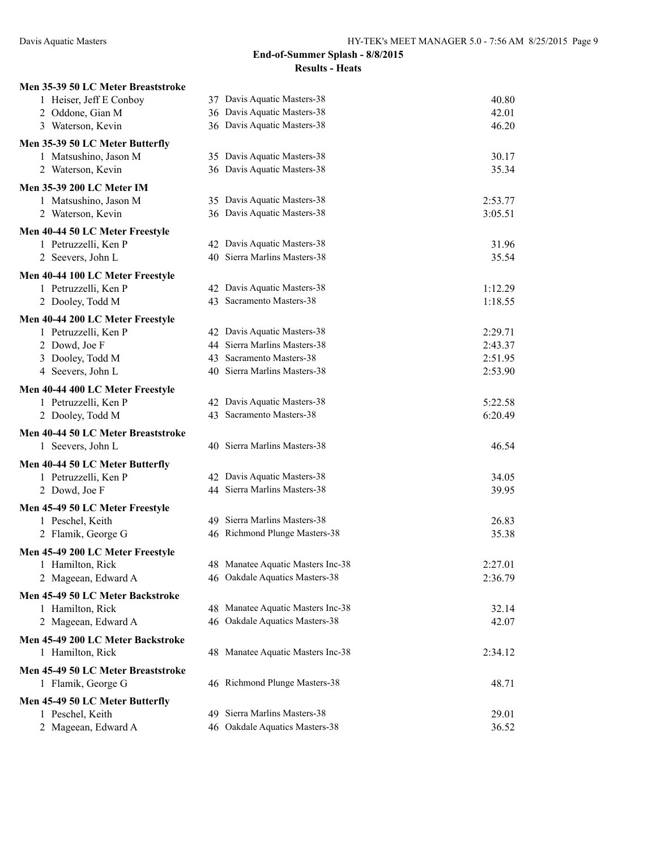| Men 35-39 50 LC Meter Breaststroke |                                   |         |
|------------------------------------|-----------------------------------|---------|
| 1 Heiser, Jeff E Conboy            | 37 Davis Aquatic Masters-38       | 40.80   |
| 2 Oddone, Gian M                   | 36 Davis Aquatic Masters-38       | 42.01   |
| 3 Waterson, Kevin                  | 36 Davis Aquatic Masters-38       | 46.20   |
| Men 35-39 50 LC Meter Butterfly    |                                   |         |
| 1 Matsushino, Jason M              | 35 Davis Aquatic Masters-38       | 30.17   |
| 2 Waterson, Kevin                  | 36 Davis Aquatic Masters-38       | 35.34   |
| <b>Men 35-39 200 LC Meter IM</b>   |                                   |         |
| 1 Matsushino, Jason M              | 35 Davis Aquatic Masters-38       | 2:53.77 |
| 2 Waterson, Kevin                  | 36 Davis Aquatic Masters-38       | 3:05.51 |
| Men 40-44 50 LC Meter Freestyle    |                                   |         |
| 1 Petruzzelli, Ken P               | 42 Davis Aquatic Masters-38       | 31.96   |
| 2 Seevers, John L                  | 40 Sierra Marlins Masters-38      | 35.54   |
| Men 40-44 100 LC Meter Freestyle   |                                   |         |
| 1 Petruzzelli, Ken P               | 42 Davis Aquatic Masters-38       | 1:12.29 |
| 2 Dooley, Todd M                   | 43 Sacramento Masters-38          | 1:18.55 |
| Men 40-44 200 LC Meter Freestyle   |                                   |         |
| 1 Petruzzelli, Ken P               | 42 Davis Aquatic Masters-38       | 2:29.71 |
| 2 Dowd, Joe F                      | 44 Sierra Marlins Masters-38      | 2:43.37 |
| 3 Dooley, Todd M                   | 43 Sacramento Masters-38          | 2:51.95 |
| 4 Seevers, John L                  | 40 Sierra Marlins Masters-38      | 2:53.90 |
| Men 40-44 400 LC Meter Freestyle   |                                   |         |
| 1 Petruzzelli, Ken P               | 42 Davis Aquatic Masters-38       | 5:22.58 |
| 2 Dooley, Todd M                   | 43 Sacramento Masters-38          | 6:20.49 |
| Men 40-44 50 LC Meter Breaststroke |                                   |         |
| 1 Seevers, John L                  | 40 Sierra Marlins Masters-38      | 46.54   |
| Men 40-44 50 LC Meter Butterfly    |                                   |         |
| 1 Petruzzelli, Ken P               | 42 Davis Aquatic Masters-38       | 34.05   |
| 2 Dowd, Joe F                      | 44 Sierra Marlins Masters-38      | 39.95   |
| Men 45-49 50 LC Meter Freestyle    |                                   |         |
| 1 Peschel, Keith                   | 49 Sierra Marlins Masters-38      | 26.83   |
| 2 Flamik, George G                 | 46 Richmond Plunge Masters-38     | 35.38   |
| Men 45-49 200 LC Meter Freestyle   |                                   |         |
| 1 Hamilton, Rick                   | 48 Manatee Aquatic Masters Inc-38 | 2:27.01 |
| 2 Mageean, Edward A                | 46 Oakdale Aquatics Masters-38    | 2:36.79 |
| Men 45-49 50 LC Meter Backstroke   |                                   |         |
| 1 Hamilton, Rick                   | 48 Manatee Aquatic Masters Inc-38 | 32.14   |
| 2 Mageean, Edward A                | 46 Oakdale Aquatics Masters-38    | 42.07   |
| Men 45-49 200 LC Meter Backstroke  |                                   |         |
| 1 Hamilton, Rick                   | 48 Manatee Aquatic Masters Inc-38 | 2:34.12 |
| Men 45-49 50 LC Meter Breaststroke |                                   |         |
| 1 Flamik, George G                 | 46 Richmond Plunge Masters-38     | 48.71   |
| Men 45-49 50 LC Meter Butterfly    |                                   |         |
| 1 Peschel, Keith                   | 49 Sierra Marlins Masters-38      | 29.01   |
| 2 Mageean, Edward A                | 46 Oakdale Aquatics Masters-38    | 36.52   |
|                                    |                                   |         |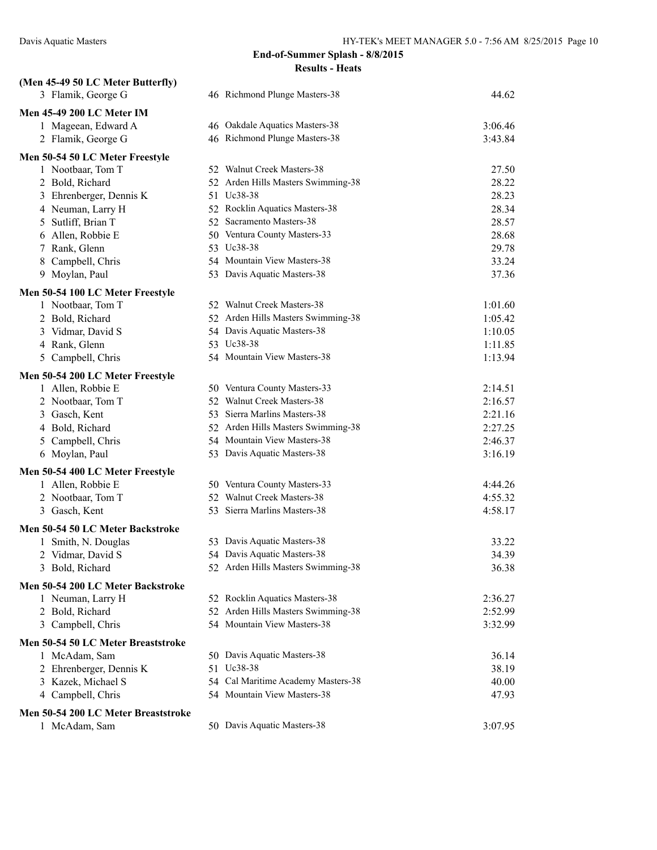| (Men 45-49 50 LC Meter Butterfly)                       |                                    |         |
|---------------------------------------------------------|------------------------------------|---------|
| 3 Flamik, George G                                      | 46 Richmond Plunge Masters-38      | 44.62   |
| Men 45-49 200 LC Meter IM                               |                                    |         |
| 1 Mageean, Edward A                                     | 46 Oakdale Aquatics Masters-38     | 3:06.46 |
| 2 Flamik, George G                                      | 46 Richmond Plunge Masters-38      | 3:43.84 |
| Men 50-54 50 LC Meter Freestyle                         |                                    |         |
| 1 Nootbaar, Tom T                                       | 52 Walnut Creek Masters-38         | 27.50   |
| 2 Bold, Richard                                         | 52 Arden Hills Masters Swimming-38 | 28.22   |
| 3 Ehrenberger, Dennis K                                 | 51 Uc38-38                         | 28.23   |
| 4 Neuman, Larry H                                       | 52 Rocklin Aquatics Masters-38     | 28.34   |
| 5 Sutliff, Brian T                                      | 52 Sacramento Masters-38           | 28.57   |
| 6 Allen, Robbie E                                       | 50 Ventura County Masters-33       | 28.68   |
| 7 Rank, Glenn                                           | 53 Uc38-38                         | 29.78   |
| 8 Campbell, Chris                                       | 54 Mountain View Masters-38        | 33.24   |
| 9 Moylan, Paul                                          | 53 Davis Aquatic Masters-38        | 37.36   |
| Men 50-54 100 LC Meter Freestyle                        |                                    |         |
| 1 Nootbaar, Tom T                                       | 52 Walnut Creek Masters-38         | 1:01.60 |
| 2 Bold, Richard                                         | 52 Arden Hills Masters Swimming-38 | 1:05.42 |
| 3 Vidmar, David S                                       | 54 Davis Aquatic Masters-38        | 1:10.05 |
| 4 Rank, Glenn                                           | 53 Uc38-38                         | 1:11.85 |
| 5 Campbell, Chris                                       | 54 Mountain View Masters-38        | 1:13.94 |
| Men 50-54 200 LC Meter Freestyle                        |                                    |         |
| 1 Allen, Robbie E                                       | 50 Ventura County Masters-33       | 2:14.51 |
| 2 Nootbaar, Tom T                                       | 52 Walnut Creek Masters-38         | 2:16.57 |
| 3 Gasch, Kent                                           | 53 Sierra Marlins Masters-38       | 2:21.16 |
| 4 Bold, Richard                                         | 52 Arden Hills Masters Swimming-38 | 2:27.25 |
| 5 Campbell, Chris                                       | 54 Mountain View Masters-38        | 2:46.37 |
| 6 Moylan, Paul                                          | 53 Davis Aquatic Masters-38        | 3:16.19 |
| Men 50-54 400 LC Meter Freestyle                        |                                    |         |
| 1 Allen, Robbie E                                       | 50 Ventura County Masters-33       | 4:44.26 |
| 2 Nootbaar, Tom T                                       | 52 Walnut Creek Masters-38         | 4:55.32 |
| 3 Gasch, Kent                                           | 53 Sierra Marlins Masters-38       | 4:58.17 |
|                                                         |                                    |         |
| Men 50-54 50 LC Meter Backstroke<br>1 Smith, N. Douglas | 53 Davis Aquatic Masters-38        | 33.22   |
| 2 Vidmar, David S                                       | 54 Davis Aquatic Masters-38        | 34.39   |
| 3 Bold, Richard                                         | 52 Arden Hills Masters Swimming-38 | 36.38   |
|                                                         |                                    |         |
| Men 50-54 200 LC Meter Backstroke                       |                                    |         |
| 1 Neuman, Larry H                                       | 52 Rocklin Aquatics Masters-38     | 2:36.27 |
| 2 Bold, Richard                                         | 52 Arden Hills Masters Swimming-38 | 2:52.99 |
| 3 Campbell, Chris                                       | 54 Mountain View Masters-38        | 3:32.99 |
| Men 50-54 50 LC Meter Breaststroke                      |                                    |         |
| 1 McAdam, Sam                                           | 50 Davis Aquatic Masters-38        | 36.14   |
| 2 Ehrenberger, Dennis K                                 | 51 Uc38-38                         | 38.19   |
| 3 Kazek, Michael S                                      | 54 Cal Maritime Academy Masters-38 | 40.00   |
| 4 Campbell, Chris                                       | 54 Mountain View Masters-38        | 47.93   |
| Men 50-54 200 LC Meter Breaststroke                     |                                    |         |
| 1 McAdam, Sam                                           | 50 Davis Aquatic Masters-38        | 3:07.95 |
|                                                         |                                    |         |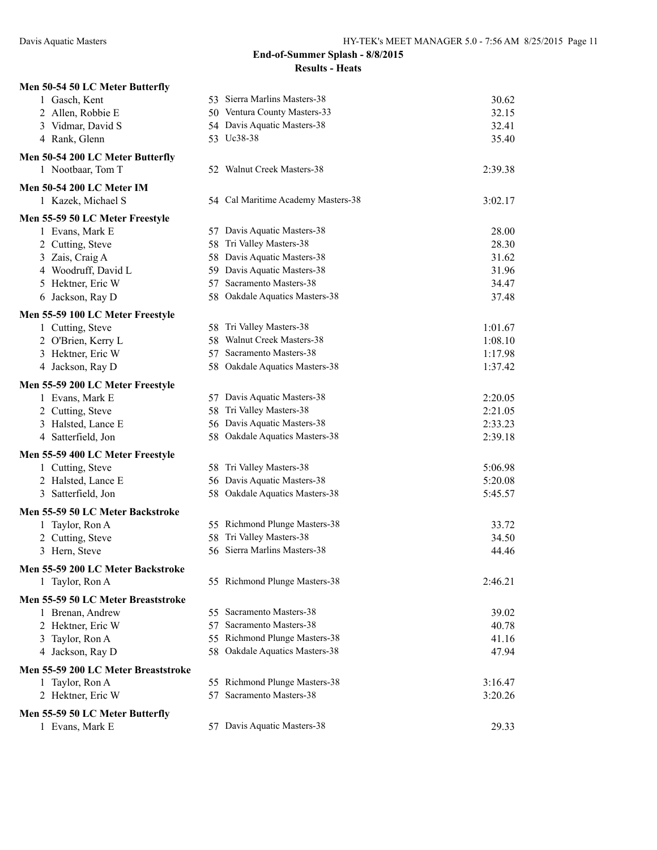| Men 50-54 50 LC Meter Butterfly     |                                    |         |
|-------------------------------------|------------------------------------|---------|
| 1 Gasch, Kent                       | 53 Sierra Marlins Masters-38       | 30.62   |
| 2 Allen, Robbie E                   | 50 Ventura County Masters-33       | 32.15   |
| 3 Vidmar, David S                   | 54 Davis Aquatic Masters-38        | 32.41   |
| 4 Rank, Glenn                       | 53 Uc38-38                         | 35.40   |
| Men 50-54 200 LC Meter Butterfly    |                                    |         |
| 1 Nootbaar, Tom T                   | 52 Walnut Creek Masters-38         | 2:39.38 |
| Men 50-54 200 LC Meter IM           |                                    |         |
| 1 Kazek, Michael S                  | 54 Cal Maritime Academy Masters-38 | 3:02.17 |
| Men 55-59 50 LC Meter Freestyle     |                                    |         |
| 1 Evans, Mark E                     | 57 Davis Aquatic Masters-38        | 28.00   |
| 2 Cutting, Steve                    | Tri Valley Masters-38<br>58        | 28.30   |
| 3 Zais, Craig A                     | 58 Davis Aquatic Masters-38        | 31.62   |
| 4 Woodruff, David L                 | 59 Davis Aquatic Masters-38        | 31.96   |
| 5 Hektner, Eric W                   | 57 Sacramento Masters-38           | 34.47   |
| 6 Jackson, Ray D                    | 58 Oakdale Aquatics Masters-38     | 37.48   |
| Men 55-59 100 LC Meter Freestyle    |                                    |         |
| 1 Cutting, Steve                    | 58 Tri Valley Masters-38           | 1:01.67 |
| 2 O'Brien, Kerry L                  | 58 Walnut Creek Masters-38         | 1:08.10 |
| 3 Hektner, Eric W                   | Sacramento Masters-38<br>57        | 1:17.98 |
| 4 Jackson, Ray D                    | 58 Oakdale Aquatics Masters-38     | 1:37.42 |
| Men 55-59 200 LC Meter Freestyle    |                                    |         |
| 1 Evans, Mark E                     | 57 Davis Aquatic Masters-38        | 2:20.05 |
| 2 Cutting, Steve                    | 58 Tri Valley Masters-38           | 2:21.05 |
| 3 Halsted, Lance E                  | 56 Davis Aquatic Masters-38        | 2:33.23 |
| 4 Satterfield, Jon                  | 58 Oakdale Aquatics Masters-38     | 2:39.18 |
| Men 55-59 400 LC Meter Freestyle    |                                    |         |
| 1 Cutting, Steve                    | 58 Tri Valley Masters-38           | 5:06.98 |
| 2 Halsted, Lance E                  | 56 Davis Aquatic Masters-38        | 5:20.08 |
| 3 Satterfield, Jon                  | 58 Oakdale Aquatics Masters-38     | 5:45.57 |
| Men 55-59 50 LC Meter Backstroke    |                                    |         |
| 1 Taylor, Ron A                     | 55 Richmond Plunge Masters-38      | 33.72   |
| 2 Cutting, Steve                    | Tri Valley Masters-38<br>58        | 34.50   |
| 3 Hern, Steve                       | 56 Sierra Marlins Masters-38       | 44.46   |
| Men 55-59 200 LC Meter Backstroke   |                                    |         |
| 1 Taylor, Ron A                     | 55 Richmond Plunge Masters-38      | 2:46.21 |
| Men 55-59 50 LC Meter Breaststroke  |                                    |         |
| 1 Brenan, Andrew                    | 55 Sacramento Masters-38           | 39.02   |
| 2 Hektner, Eric W                   | 57 Sacramento Masters-38           | 40.78   |
| 3 Taylor, Ron A                     | 55 Richmond Plunge Masters-38      | 41.16   |
| 4 Jackson, Ray D                    | 58 Oakdale Aquatics Masters-38     | 47.94   |
| Men 55-59 200 LC Meter Breaststroke | 55 Richmond Plunge Masters-38      |         |
| 1 Taylor, Ron A                     | 57 Sacramento Masters-38           | 3:16.47 |
| 2 Hektner, Eric W                   |                                    | 3:20.26 |
| Men 55-59 50 LC Meter Butterfly     |                                    |         |
| 1 Evans, Mark E                     | 57 Davis Aquatic Masters-38        | 29.33   |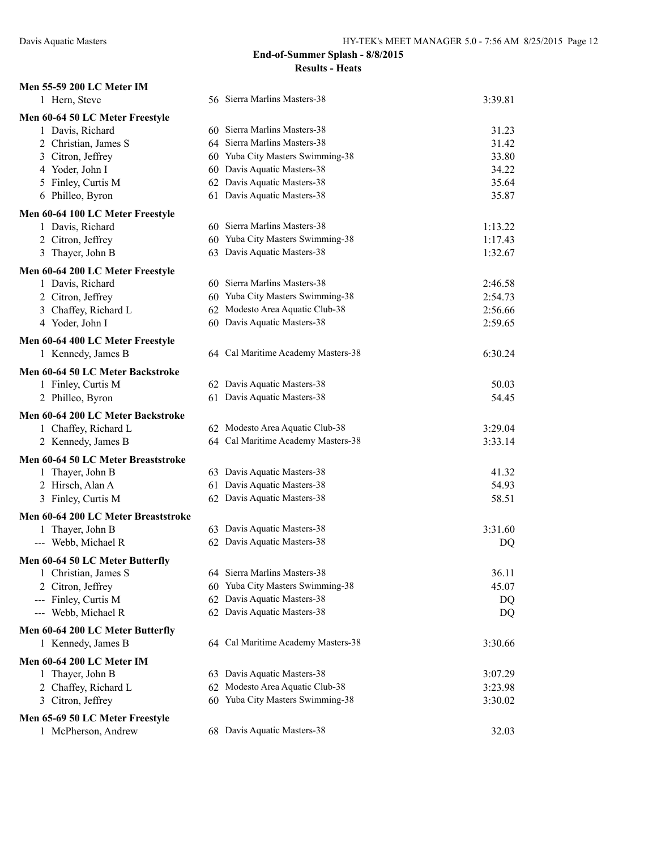| Men 55-59 200 LC Meter IM                               |                                    |         |
|---------------------------------------------------------|------------------------------------|---------|
| 1 Hern, Steve                                           | 56 Sierra Marlins Masters-38       | 3:39.81 |
| Men 60-64 50 LC Meter Freestyle                         |                                    |         |
| 1 Davis, Richard                                        | 60 Sierra Marlins Masters-38       | 31.23   |
| 2 Christian, James S                                    | 64 Sierra Marlins Masters-38       | 31.42   |
| 3 Citron, Jeffrey                                       | 60 Yuba City Masters Swimming-38   | 33.80   |
| 4 Yoder, John I                                         | 60 Davis Aquatic Masters-38        | 34.22   |
| 5 Finley, Curtis M                                      | 62 Davis Aquatic Masters-38        | 35.64   |
| 6 Philleo, Byron                                        | 61 Davis Aquatic Masters-38        | 35.87   |
| Men 60-64 100 LC Meter Freestyle                        |                                    |         |
| 1 Davis, Richard                                        | 60 Sierra Marlins Masters-38       | 1:13.22 |
| 2 Citron, Jeffrey                                       | 60 Yuba City Masters Swimming-38   | 1:17.43 |
| 3 Thayer, John B                                        | 63 Davis Aquatic Masters-38        | 1:32.67 |
| Men 60-64 200 LC Meter Freestyle                        |                                    |         |
| 1 Davis, Richard                                        | 60 Sierra Marlins Masters-38       | 2:46.58 |
| 2 Citron, Jeffrey                                       | 60 Yuba City Masters Swimming-38   | 2:54.73 |
| 3 Chaffey, Richard L                                    | 62 Modesto Area Aquatic Club-38    | 2:56.66 |
| 4 Yoder, John I                                         | 60 Davis Aquatic Masters-38        | 2:59.65 |
|                                                         |                                    |         |
| Men 60-64 400 LC Meter Freestyle                        | 64 Cal Maritime Academy Masters-38 |         |
| 1 Kennedy, James B                                      |                                    | 6:30.24 |
| Men 60-64 50 LC Meter Backstroke                        |                                    |         |
| 1 Finley, Curtis M                                      | 62 Davis Aquatic Masters-38        | 50.03   |
| 2 Philleo, Byron                                        | 61 Davis Aquatic Masters-38        | 54.45   |
| Men 60-64 200 LC Meter Backstroke                       |                                    |         |
| 1 Chaffey, Richard L                                    | 62 Modesto Area Aquatic Club-38    | 3:29.04 |
| 2 Kennedy, James B                                      | 64 Cal Maritime Academy Masters-38 | 3:33.14 |
| Men 60-64 50 LC Meter Breaststroke                      |                                    |         |
| 1 Thayer, John B                                        | 63 Davis Aquatic Masters-38        | 41.32   |
| 2 Hirsch, Alan A                                        | 61 Davis Aquatic Masters-38        | 54.93   |
| 3 Finley, Curtis M                                      | 62 Davis Aquatic Masters-38        | 58.51   |
| Men 60-64 200 LC Meter Breaststroke                     |                                    |         |
| 1 Thayer, John B                                        | 63 Davis Aquatic Masters-38        | 3:31.60 |
| --- Webb, Michael R                                     | 62 Davis Aquatic Masters-38        | DQ      |
|                                                         |                                    |         |
| Men 60-64 50 LC Meter Butterfly<br>1 Christian, James S | 64 Sierra Marlins Masters-38       | 36.11   |
|                                                         | 60 Yuba City Masters Swimming-38   | 45.07   |
| 2 Citron, Jeffrey<br>Finley, Curtis M                   | 62 Davis Aquatic Masters-38        | DQ      |
| ---<br>--- Webb, Michael R                              | 62 Davis Aquatic Masters-38        |         |
|                                                         |                                    | DQ      |
| Men 60-64 200 LC Meter Butterfly                        |                                    |         |
| 1 Kennedy, James B                                      | 64 Cal Maritime Academy Masters-38 | 3:30.66 |
| Men 60-64 200 LC Meter IM                               |                                    |         |
| 1 Thayer, John B                                        | 63 Davis Aquatic Masters-38        | 3:07.29 |
| 2 Chaffey, Richard L                                    | 62 Modesto Area Aquatic Club-38    | 3:23.98 |
| 3 Citron, Jeffrey                                       | 60 Yuba City Masters Swimming-38   | 3:30.02 |
| Men 65-69 50 LC Meter Freestyle                         |                                    |         |
| 1 McPherson, Andrew                                     | 68 Davis Aquatic Masters-38        | 32.03   |
|                                                         |                                    |         |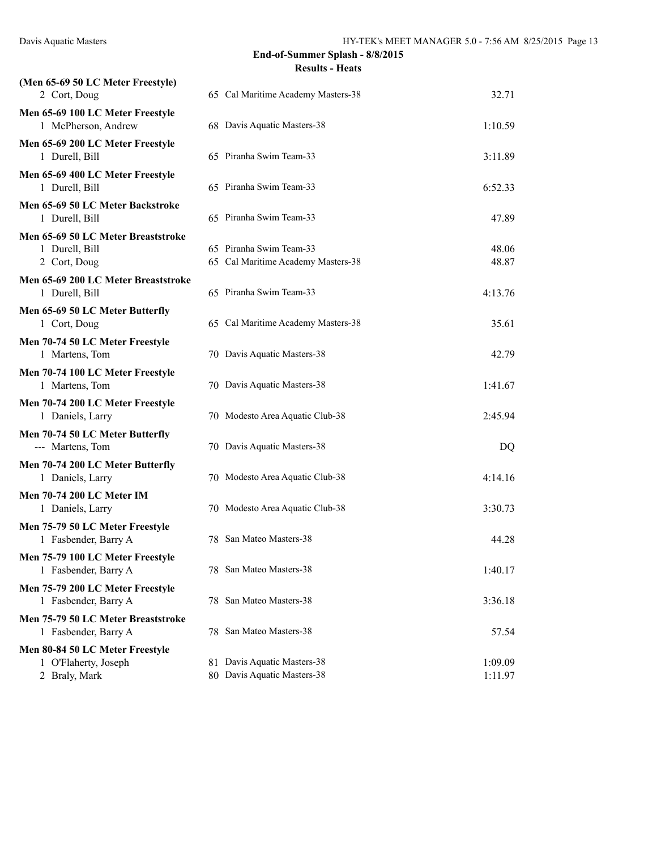| (Men 65-69 50 LC Meter Freestyle)<br>2 Cort, Doug                        | 65 Cal Maritime Academy Masters-38                            | 32.71              |
|--------------------------------------------------------------------------|---------------------------------------------------------------|--------------------|
| Men 65-69 100 LC Meter Freestyle<br>1 McPherson, Andrew                  | 68 Davis Aquatic Masters-38                                   | 1:10.59            |
| Men 65-69 200 LC Meter Freestyle<br>1 Durell, Bill                       | 65 Piranha Swim Team-33                                       | 3:11.89            |
| Men 65-69 400 LC Meter Freestyle<br>1 Durell, Bill                       | 65 Piranha Swim Team-33                                       | 6:52.33            |
| Men 65-69 50 LC Meter Backstroke<br>1 Durell, Bill                       | 65 Piranha Swim Team-33                                       | 47.89              |
| Men 65-69 50 LC Meter Breaststroke<br>1 Durell, Bill<br>2 Cort, Doug     | 65 Piranha Swim Team-33<br>65 Cal Maritime Academy Masters-38 | 48.06<br>48.87     |
| Men 65-69 200 LC Meter Breaststroke<br>1 Durell, Bill                    | 65 Piranha Swim Team-33                                       | 4:13.76            |
| Men 65-69 50 LC Meter Butterfly<br>1 Cort, Doug                          | 65 Cal Maritime Academy Masters-38                            | 35.61              |
| Men 70-74 50 LC Meter Freestyle<br>1 Martens, Tom                        | 70 Davis Aquatic Masters-38                                   | 42.79              |
| Men 70-74 100 LC Meter Freestyle<br>1 Martens, Tom                       | 70 Davis Aquatic Masters-38                                   | 1:41.67            |
| Men 70-74 200 LC Meter Freestyle<br>1 Daniels, Larry                     | 70 Modesto Area Aquatic Club-38                               | 2:45.94            |
| Men 70-74 50 LC Meter Butterfly<br>--- Martens, Tom                      | 70 Davis Aquatic Masters-38                                   | DQ                 |
| Men 70-74 200 LC Meter Butterfly<br>1 Daniels, Larry                     | 70 Modesto Area Aquatic Club-38                               | 4:14.16            |
| Men 70-74 200 LC Meter IM<br>1 Daniels, Larry                            | 70 Modesto Area Aquatic Club-38                               | 3:30.73            |
| Men 75-79 50 LC Meter Freestyle<br>1 Fasbender, Barry A                  | 78 San Mateo Masters-38                                       | 44.28              |
| Men 75-79 100 LC Meter Freestyle<br>1 Fasbender, Barry A                 | 78 San Mateo Masters-38                                       | 1:40.17            |
| Men 75-79 200 LC Meter Freestyle<br>1 Fasbender, Barry A                 | 78 San Mateo Masters-38                                       | 3:36.18            |
| Men 75-79 50 LC Meter Breaststroke<br>1 Fasbender, Barry A               | 78 San Mateo Masters-38                                       | 57.54              |
| Men 80-84 50 LC Meter Freestyle<br>1 O'Flaherty, Joseph<br>2 Braly, Mark | 81 Davis Aquatic Masters-38<br>80 Davis Aquatic Masters-38    | 1:09.09<br>1:11.97 |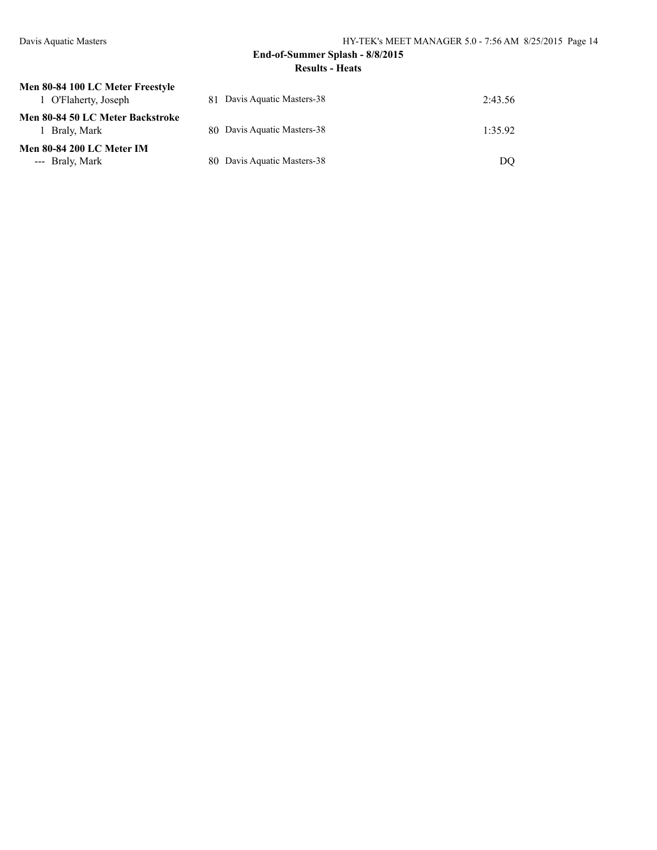| Men 80-84 100 LC Meter Freestyle                |                             |         |
|-------------------------------------------------|-----------------------------|---------|
| 1 O'Flaherty, Joseph                            | 81 Davis Aquatic Masters-38 | 2:43.56 |
| Men 80-84 50 LC Meter Backstroke<br>Braly, Mark | 80 Davis Aquatic Masters-38 | 1.3592  |
| <b>Men 80-84 200 LC Meter IM</b>                |                             |         |
| --- Braly, Mark                                 | 80 Davis Aquatic Masters-38 | DO      |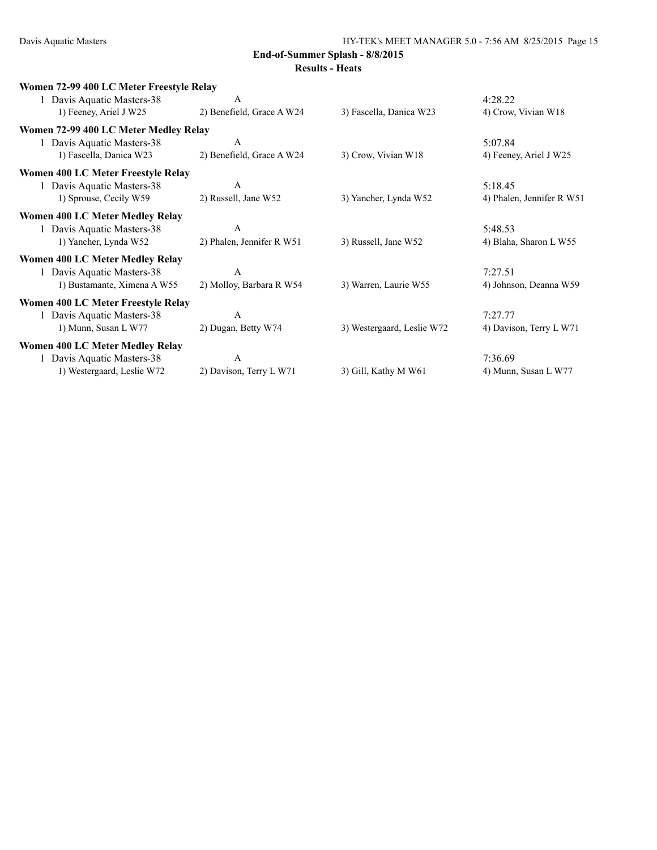| Women 72-99 400 LC Meter Freestyle Relay  |                           |                            |                           |
|-------------------------------------------|---------------------------|----------------------------|---------------------------|
| Davis Aquatic Masters-38                  | A                         |                            | 4:28.22                   |
| 1) Feeney, Ariel J W25                    | 2) Benefield, Grace A W24 | 3) Fascella, Danica W23    | 4) Crow, Vivian W18       |
| Women 72-99 400 LC Meter Medley Relay     |                           |                            |                           |
| 1 Davis Aquatic Masters-38                | A                         |                            | 5:07.84                   |
| 1) Fascella, Danica W23                   | 2) Benefield, Grace A W24 | 3) Crow, Vivian W18        | 4) Feeney, Ariel J W25    |
| <b>Women 400 LC Meter Freestyle Relay</b> |                           |                            |                           |
| Davis Aquatic Masters-38                  | A                         |                            | 5:18.45                   |
| 1) Sprouse, Cecily W59                    | 2) Russell, Jane W52      | 3) Yancher, Lynda W52      | 4) Phalen, Jennifer R W51 |
| <b>Women 400 LC Meter Medley Relay</b>    |                           |                            |                           |
| 1 Davis Aquatic Masters-38                | A                         |                            | 5:48.53                   |
| 1) Yancher, Lynda W52                     | 2) Phalen, Jennifer R W51 | 3) Russell, Jane W52       | 4) Blaha, Sharon L W55    |
| <b>Women 400 LC Meter Medley Relay</b>    |                           |                            |                           |
| Davis Aquatic Masters-38                  | A                         |                            | 7:27.51                   |
| 1) Bustamante, Ximena A W55               | 2) Molloy, Barbara R W54  | 3) Warren, Laurie W55      | 4) Johnson, Deanna W59    |
| <b>Women 400 LC Meter Freestyle Relay</b> |                           |                            |                           |
| 1 Davis Aquatic Masters-38                | A                         |                            | 7:27.77                   |
| 1) Munn, Susan L W77                      | 2) Dugan, Betty W74       | 3) Westergaard, Leslie W72 | 4) Davison, Terry L W71   |
| <b>Women 400 LC Meter Medley Relay</b>    |                           |                            |                           |
| Davis Aquatic Masters-38                  | A                         |                            | 7:36.69                   |
| 1) Westergaard, Leslie W72                | 2) Davison, Terry L W71   | 3) Gill, Kathy M W61       | 4) Munn, Susan L W77      |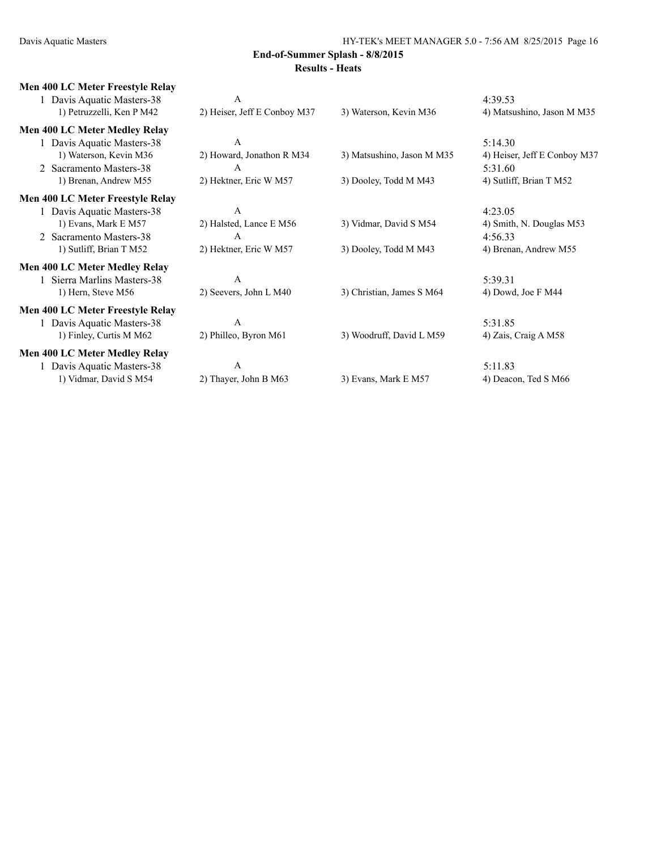| <b>Men 400 LC Meter Freestyle Relay</b> |                              |                            |                              |
|-----------------------------------------|------------------------------|----------------------------|------------------------------|
| 1 Davis Aquatic Masters-38              | A                            |                            | 4:39.53                      |
| 1) Petruzzelli, Ken P M42               | 2) Heiser, Jeff E Conboy M37 | 3) Waterson, Kevin M36     | 4) Matsushino, Jason M M35   |
| <b>Men 400 LC Meter Medley Relay</b>    |                              |                            |                              |
| Davis Aquatic Masters-38                | A                            |                            | 5:14.30                      |
| 1) Waterson, Kevin M36                  | 2) Howard, Jonathon R M34    | 3) Matsushino, Jason M M35 | 4) Heiser, Jeff E Conboy M37 |
| 2 Sacramento Masters-38                 | A                            |                            | 5:31.60                      |
| 1) Brenan, Andrew M55                   | 2) Hektner, Eric W M57       | 3) Dooley, Todd M M43      | 4) Sutliff, Brian T M52      |
| <b>Men 400 LC Meter Freestyle Relay</b> |                              |                            |                              |
| 1 Davis Aquatic Masters-38              | A                            |                            | 4:23.05                      |
| 1) Evans, Mark E M57                    | 2) Halsted, Lance E M56      | 3) Vidmar, David S M54     | 4) Smith, N. Douglas M53     |
| 2 Sacramento Masters-38                 | А                            |                            | 4:56.33                      |
| 1) Sutliff, Brian T M52                 | 2) Hektner, Eric W M57       | 3) Dooley, Todd M M43      | 4) Brenan, Andrew M55        |
| <b>Men 400 LC Meter Medley Relay</b>    |                              |                            |                              |
| 1 Sierra Marlins Masters-38             | A                            |                            | 5:39.31                      |
| 1) Hern, Steve M56                      | 2) Seevers, John L M40       | 3) Christian, James S M64  | 4) Dowd, Joe F $M44$         |
| <b>Men 400 LC Meter Freestyle Relay</b> |                              |                            |                              |
| 1 Davis Aquatic Masters-38              | A                            |                            | 5:31.85                      |
| 1) Finley, Curtis M M62                 | 2) Philleo, Byron M61        | 3) Woodruff, David L M59   | 4) Zais, Craig A M58         |
| <b>Men 400 LC Meter Medley Relay</b>    |                              |                            |                              |
| 1 Davis Aquatic Masters-38              | $\overline{A}$               |                            | 5:11.83                      |
| 1) Vidmar, David S M54                  | 2) Thayer, John B M63        | 3) Evans, Mark E M57       | 4) Deacon, Ted S M66         |
|                                         |                              |                            |                              |